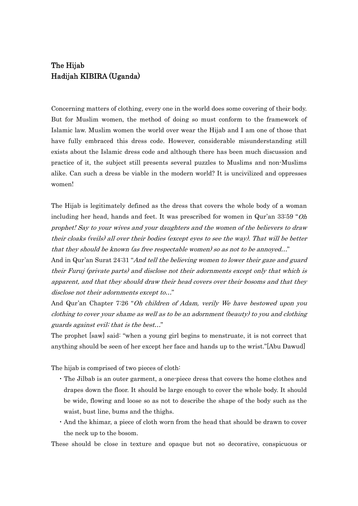## The Hijab Hadijah KIBIRA (Uganda)

Concerning matters of clothing, every one in the world does some covering of their body. But for Muslim women, the method of doing so must conform to the framework of Islamic law. Muslim women the world over wear the Hijab and I am one of those that have fully embraced this dress code. However, considerable misunderstanding still exists about the Islamic dress code and although there has been much discussion and practice of it, the subject still presents several puzzles to Muslims and non-Muslims alike. Can such a dress be viable in the modern world? It is uncivilized and oppresses women!

The Hijab is legitimately defined as the dress that covers the whole body of a woman including her head, hands and feet. It was prescribed for women in Qur'an 33:59 "Oh prophet! Say to your wives and your daughters and the women of the believers to draw their cloaks (veils) all over their bodies (except eyes to see the way). That will be better that they should be known (as free respectable women) so as not to be annoyed…"

And in Qur'an Surat 24:31 "*And tell the believing women to lower their gaze and guard* their Furuj (private parts) and disclose not their adornments except only that which is apparent, and that they should draw their head covers over their bosoms and that they disclose not their adornments except to…"

And Qur'an Chapter 7:26 "Oh children of Adam, verily We have bestowed upon you clothing to cover your shame as well as to be an adornment (beauty) to you and clothing guards against evil; that is the best…"

The prophet [saw] said: "when a young girl begins to menstruate, it is not correct that anything should be seen of her except her face and hands up to the wrist."[Abu Dawud]

The hijab is comprised of two pieces of cloth:

- ・ The Jilbab is an outer garment, a one-piece dress that covers the home clothes and drapes down the floor. It should be large enough to cover the whole body. It should be wide, flowing and loose so as not to describe the shape of the body such as the waist, bust line, bums and the thighs.
- ・And the khimar, a piece of cloth worn from the head that should be drawn to cover the neck up to the bosom.

These should be close in texture and opaque but not so decorative, conspicuous or